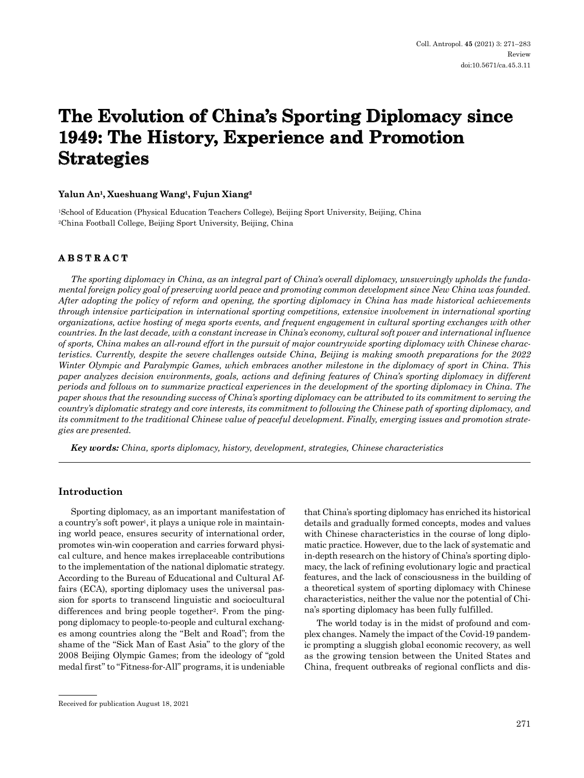# **The Evolution of China's Sporting Diplomacy since 1949: The History, Experience and Promotion Strategies**

## **Yalun An1, Xueshuang Wang1, Fujun Xiang2**

1School of Education (Physical Education Teachers College), Beijing Sport University, Beijing, China 2China Football College, Beijing Sport University, Beijing, China

## **ABSTRACT**

*The sporting diplomacy in China, as an integral part of China's overall diplomacy, unswervingly upholds the fundamental foreign policy goal of preserving world peace and promoting common development since New China was founded. After adopting the policy of reform and opening, the sporting diplomacy in China has made historical achievements through intensive participation in international sporting competitions, extensive involvement in international sporting organizations, active hosting of mega sports events, and frequent engagement in cultural sporting exchanges with other countries. In the last decade, with a constant increase in China's economy, cultural soft power and international influence of sports, China makes an all-round effort in the pursuit of major countrywide sporting diplomacy with Chinese characteristics. Currently, despite the severe challenges outside China, Beijing is making smooth preparations for the 2022 Winter Olympic and Paralympic Games, which embraces another milestone in the diplomacy of sport in China. This paper analyzes decision environments, goals, actions and defining features of China's sporting diplomacy in different periods and follows on to summarize practical experiences in the development of the sporting diplomacy in China. The paper shows that the resounding success of China's sporting diplomacy can be attributed to its commitment to serving the country's diplomatic strategy and core interests, its commitment to following the Chinese path of sporting diplomacy, and its commitment to the traditional Chinese value of peaceful development. Finally, emerging issues and promotion strategies are presented.*

*Key words: China, sports diplomacy, history, development, strategies, Chinese characteristics* 

## **Introduction**

Sporting diplomacy, as an important manifestation of a country's soft power<sup>1</sup>, it plays a unique role in maintaining world peace, ensures security of international order, promotes win-win cooperation and carries forward physical culture, and hence makes irreplaceable contributions to the implementation of the national diplomatic strategy. According to the Bureau of Educational and Cultural Affairs (ECA), sporting diplomacy uses the universal passion for sports to transcend linguistic and sociocultural differences and bring people together<sup>2</sup>. From the pingpong diplomacy to people-to-people and cultural exchanges among countries along the "Belt and Road"; from the shame of the "Sick Man of East Asia" to the glory of the 2008 Beijing Olympic Games; from the ideology of "gold medal first" to "Fitness-for-All" programs, it is undeniable that China's sporting diplomacy has enriched its historical details and gradually formed concepts, modes and values with Chinese characteristics in the course of long diplomatic practice. However, due to the lack of systematic and in-depth research on the history of China's sporting diplomacy, the lack of refining evolutionary logic and practical features, and the lack of consciousness in the building of a theoretical system of sporting diplomacy with Chinese characteristics, neither the value nor the potential of China's sporting diplomacy has been fully fulfilled.

The world today is in the midst of profound and complex changes. Namely the impact of the Covid-19 pandemic prompting a sluggish global economic recovery, as well as the growing tension between the United States and China, frequent outbreaks of regional conflicts and dis-

Received for publication August 18, 2021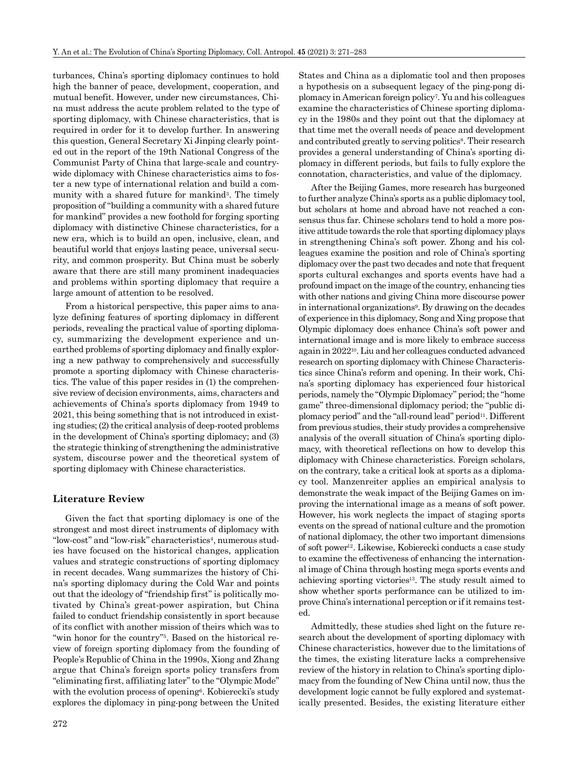turbances, China's sporting diplomacy continues to hold high the banner of peace, development, cooperation, and mutual benefit. However, under new circumstances, China must address the acute problem related to the type of sporting diplomacy, with Chinese characteristics, that is required in order for it to develop further. In answering this question, General Secretary Xi Jinping clearly pointed out in the report of the 19th National Congress of the Communist Party of China that large-scale and countrywide diplomacy with Chinese characteristics aims to foster a new type of international relation and build a community with a shared future for mankind<sup>3</sup>. The timely proposition of "building a community with a shared future for mankind" provides a new foothold for forging sporting diplomacy with distinctive Chinese characteristics, for a new era, which is to build an open, inclusive, clean, and beautiful world that enjoys lasting peace, universal security, and common prosperity. But China must be soberly aware that there are still many prominent inadequacies and problems within sporting diplomacy that require a large amount of attention to be resolved.

From a historical perspective, this paper aims to analyze defining features of sporting diplomacy in different periods, revealing the practical value of sporting diplomacy, summarizing the development experience and unearthed problems of sporting diplomacy and finally exploring a new pathway to comprehensively and successfully promote a sporting diplomacy with Chinese characteristics. The value of this paper resides in (1) the comprehensive review of decision environments, aims, characters and achievements of China's sports diplomacy from 1949 to 2021, this being something that is not introduced in existing studies; (2) the critical analysis of deep-rooted problems in the development of China's sporting diplomacy; and (3) the strategic thinking of strengthening the administrative system, discourse power and the theoretical system of sporting diplomacy with Chinese characteristics.

#### **Literature Review**

Given the fact that sporting diplomacy is one of the strongest and most direct instruments of diplomacy with "low-cost" and "low-risk" characteristics<sup>4</sup>, numerous studies have focused on the historical changes, application values and strategic constructions of sporting diplomacy in recent decades. Wang summarizes the history of China's sporting diplomacy during the Cold War and points out that the ideology of "friendship first" is politically motivated by China's great-power aspiration, but China failed to conduct friendship consistently in sport because of its conflict with another mission of theirs which was to "win honor for the country"5. Based on the historical review of foreign sporting diplomacy from the founding of People's Republic of China in the 1990s, Xiong and Zhang argue that China's foreign sports policy transfers from "eliminating first, affiliating later" to the "Olympic Mode" with the evolution process of opening<sup>6</sup>. Kobierecki's study explores the diplomacy in ping-pong between the United States and China as a diplomatic tool and then proposes a hypothesis on a subsequent legacy of the ping-pong diplomacy in American foreign policy7. Yu and his colleagues examine the characteristics of Chinese sporting diplomacy in the 1980s and they point out that the diplomacy at that time met the overall needs of peace and development and contributed greatly to serving politics<sup>8</sup>. Their research provides a general understanding of China's sporting diplomacy in different periods, but fails to fully explore the connotation, characteristics, and value of the diplomacy.

After the Beijing Games, more research has burgeoned to further analyze China's sports as a public diplomacy tool, but scholars at home and abroad have not reached a consensus thus far. Chinese scholars tend to hold a more positive attitude towards the role that sporting diplomacy plays in strengthening China's soft power. Zhong and his colleagues examine the position and role of China's sporting diplomacy over the past two decades and note that frequent sports cultural exchanges and sports events have had a profound impact on the image of the country, enhancing ties with other nations and giving China more discourse power in international organizations9. By drawing on the decades of experience in this diplomacy, Song and Xing propose that Olympic diplomacy does enhance China's soft power and international image and is more likely to embrace success again in 202210. Liu and her colleagues conducted advanced research on sporting diplomacy with Chinese Characteristics since China's reform and opening. In their work, China's sporting diplomacy has experienced four historical periods, namely the "Olympic Diplomacy" period; the "home game" three-dimensional diplomacy period; the "public diplomacy period" and the "all-round lead" period<sup>11</sup>. Different from previous studies, their study provides a comprehensive analysis of the overall situation of China's sporting diplomacy, with theoretical reflections on how to develop this diplomacy with Chinese characteristics. Foreign scholars, on the contrary, take a critical look at sports as a diplomacy tool. Manzenreiter applies an empirical analysis to demonstrate the weak impact of the Beijing Games on improving the international image as a means of soft power. However, his work neglects the impact of staging sports events on the spread of national culture and the promotion of national diplomacy, the other two important dimensions of soft power12. Likewise, Kobierecki conducts a case study to examine the effectiveness of enhancing the international image of China through hosting mega sports events and achieving sporting victories<sup>13</sup>. The study result aimed to show whether sports performance can be utilized to improve China's international perception or if it remains tested.

Admittedly, these studies shed light on the future research about the development of sporting diplomacy with Chinese characteristics, however due to the limitations of the times, the existing literature lacks a comprehensive review of the history in relation to China's sporting diplomacy from the founding of New China until now, thus the development logic cannot be fully explored and systematically presented. Besides, the existing literature either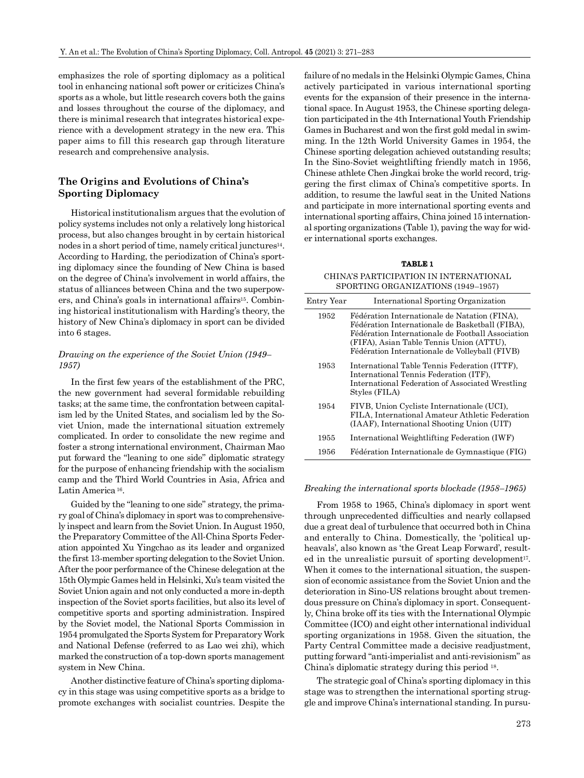emphasizes the role of sporting diplomacy as a political tool in enhancing national soft power or criticizes China's sports as a whole, but little research covers both the gains and losses throughout the course of the diplomacy, and there is minimal research that integrates historical experience with a development strategy in the new era. This paper aims to fill this research gap through literature research and comprehensive analysis.

## **The Origins and Evolutions of China's Sporting Diplomacy**

Historical institutionalism argues that the evolution of policy systems includes not only a relatively long historical process, but also changes brought in by certain historical nodes in a short period of time, namely critical junctures<sup>14</sup>. According to Harding, the periodization of China's sporting diplomacy since the founding of New China is based on the degree of China's involvement in world affairs, the status of alliances between China and the two superpowers, and China's goals in international affairs15. Combining historical institutionalism with Harding's theory, the history of New China's diplomacy in sport can be divided into 6 stages.

### *Drawing on the experience of the Soviet Union (1949– 1957)*

In the first few years of the establishment of the PRC, the new government had several formidable rebuilding tasks; at the same time, the confrontation between capitalism led by the United States, and socialism led by the Soviet Union, made the international situation extremely complicated. In order to consolidate the new regime and foster a strong international environment, Chairman Mao put forward the "leaning to one side" diplomatic strategy for the purpose of enhancing friendship with the socialism camp and the Third World Countries in Asia, Africa and Latin America 16.

Guided by the "leaning to one side" strategy, the primary goal of China's diplomacy in sport was to comprehensively inspect and learn from the Soviet Union. In August 1950, the Preparatory Committee of the All-China Sports Federation appointed Xu Yingchao as its leader and organized the first 13-member sporting delegation to the Soviet Union. After the poor performance of the Chinese delegation at the 15th Olympic Games held in Helsinki, Xu's team visited the Soviet Union again and not only conducted a more in-depth inspection of the Soviet sports facilities, but also its level of competitive sports and sporting administration. Inspired by the Soviet model, the National Sports Commission in 1954 promulgated the Sports System for Preparatory Work and National Defense (referred to as Lao wei zhi), which marked the construction of a top-down sports management system in New China.

Another distinctive feature of China's sporting diplomacy in this stage was using competitive sports as a bridge to promote exchanges with socialist countries. Despite the failure of no medals in the Helsinki Olympic Games, China actively participated in various international sporting events for the expansion of their presence in the international space. In August 1953, the Chinese sporting delegation participated in the 4th International Youth Friendship Games in Bucharest and won the first gold medal in swimming. In the 12th World University Games in 1954, the Chinese sporting delegation achieved outstanding results; In the Sino-Soviet weightlifting friendly match in 1956, Chinese athlete Chen Jingkai broke the world record, triggering the first climax of China's competitive sports. In addition, to resume the lawful seat in the United Nations and participate in more international sporting events and international sporting affairs, China joined 15 international sporting organizations (Table 1), paving the way for wider international sports exchanges.

#### **TABLE 1**

CHINA'S PARTICIPATION IN INTERNATIONAL SPORTING ORGANIZATIONS (1949–1957)

| Entry Year | International Sporting Organization                                                                                                                                                                                                                 |
|------------|-----------------------------------------------------------------------------------------------------------------------------------------------------------------------------------------------------------------------------------------------------|
| 1952       | Fédération Internationale de Natation (FINA),<br>Fédération Internationale de Basketball (FIBA),<br>Fédération Internationale de Football Association<br>(FIFA), Asian Table Tennis Union (ATTU),<br>Fédération Internationale de Volleyball (FIVB) |
| 1953       | International Table Tennis Federation (ITTF),<br>International Tennis Federation (ITF),<br>International Federation of Associated Wrestling<br>Styles (FILA)                                                                                        |
| 1954       | FIVB, Union Cycliste Internationale (UCI),<br>FILA, International Amateur Athletic Federation<br>(IAAF), International Shooting Union (UIT)                                                                                                         |
| 1955       | International Weightlifting Federation (IWF)                                                                                                                                                                                                        |
| 1956       | Fédération Internationale de Gymnastique (FIG)                                                                                                                                                                                                      |

#### *Breaking the international sports blockade (1958–1965)*

From 1958 to 1965, China's diplomacy in sport went through unprecedented difficulties and nearly collapsed due a great deal of turbulence that occurred both in China and enterally to China. Domestically, the 'political upheavals', also known as 'the Great Leap Forward', resulted in the unrealistic pursuit of sporting development<sup>17</sup>. When it comes to the international situation, the suspension of economic assistance from the Soviet Union and the deterioration in Sino-US relations brought about tremendous pressure on China's diplomacy in sport. Consequently, China broke off its ties with the International Olympic Committee (ICO) and eight other international individual sporting organizations in 1958. Given the situation, the Party Central Committee made a decisive readjustment, putting forward "anti-imperialist and anti-revisionism" as China's diplomatic strategy during this period 18.

The strategic goal of China's sporting diplomacy in this stage was to strengthen the international sporting struggle and improve China's international standing. In pursu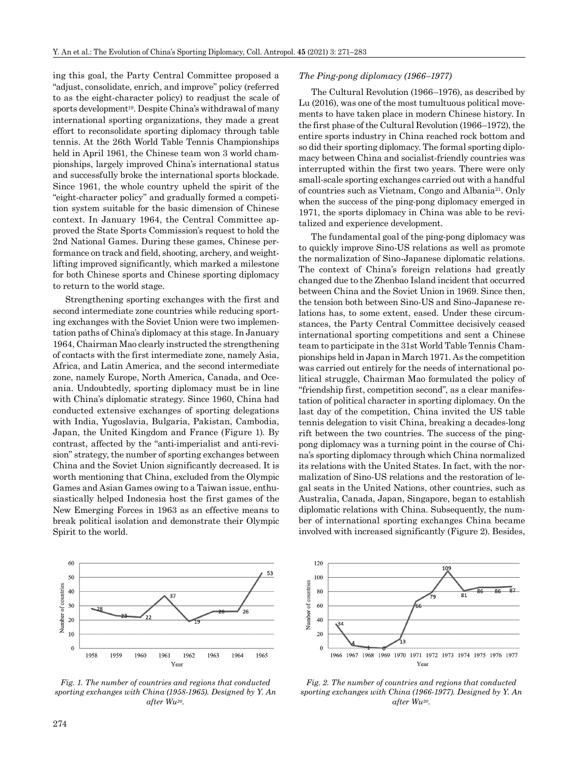ing this goal, the Party Central Committee proposed a "adjust, consolidate, enrich, and improve" policy (referred to as the eight-character policy) to readjust the scale of sports development<sup>19</sup>. Despite China's withdrawal of many international sporting organizations, they made a great effort to reconsolidate sporting diplomacy through table tennis. At the 26th World Table Tennis Championships held in April 1961, the Chinese team won 3 world championships, largely improved China's international status and successfully broke the international sports blockade. Since 1961, the whole country upheld the spirit of the "eight-character policy" and gradually formed a competition system suitable for the basic dimension of Chinese context. In January 1964, the Central Committee approved the State Sports Commission's request to hold the 2nd National Games. During these games, Chinese performance on track and field, shooting, archery, and weightlifting improved significantly, which marked a milestone for both Chinese sports and Chinese sporting diplomacy to return to the world stage.

Strengthening sporting exchanges with the first and second intermediate zone countries while reducing sporting exchanges with the Soviet Union were two implementation paths of China's diplomacy at this stage. In January 1964, Chairman Mao clearly instructed the strengthening of contacts with the first intermediate zone, namely Asia, Africa, and Latin America, and the second intermediate zone, namely Europe, North America, Canada, and Oceania. Undoubtedly, sporting diplomacy must be in line with China's diplomatic strategy. Since 1960, China had conducted extensive exchanges of sporting delegations with India, Yugoslavia, Bulgaria, Pakistan, Cambodia, Japan, the United Kingdom and France (Figure 1). By contrast, affected by the "anti-imperialist and anti-revision" strategy, the number of sporting exchanges between China and the Soviet Union significantly decreased. It is worth mentioning that China, excluded from the Olympic Games and Asian Games owing to a Taiwan issue, enthusiastically helped Indonesia host the first games of the New Emerging Forces in 1963 as an effective means to break political isolation and demonstrate their Olympic Spirit to the world.

#### *The Ping-pong diplomacy (1966–1977)*

The Cultural Revolution (1966–1976), as described by Lu (2016), was one of the most tumultuous political movements to have taken place in modern Chinese history. In the first phase of the Cultural Revolution (1966–1972), the entire sports industry in China reached rock bottom and so did their sporting diplomacy. The formal sporting diplomacy between China and socialist-friendly countries was interrupted within the first two years. There were only small-scale sporting exchanges carried out with a handful of countries such as Vietnam, Congo and Albania21. Only when the success of the ping-pong diplomacy emerged in 1971, the sports diplomacy in China was able to be revitalized and experience development.

The fundamental goal of the ping-pong diplomacy was to quickly improve Sino-US relations as well as promote the normalization of Sino-Japanese diplomatic relations. The context of China's foreign relations had greatly changed due to the Zhenbao Island incident that occurred between China and the Soviet Union in 1969. Since then, the tension both between Sino-US and Sino-Japanese relations has, to some extent, eased. Under these circumstances, the Party Central Committee decisively ceased international sporting competitions and sent a Chinese team to participate in the 31st World Table Tennis Championships held in Japan in March 1971. As the competition was carried out entirely for the needs of international political struggle, Chairman Mao formulated the policy of "friendship first, competition second", as a clear manifestation of political character in sporting diplomacy. On the last day of the competition, China invited the US table tennis delegation to visit China, breaking a decades-long rift between the two countries. The success of the pingpong diplomacy was a turning point in the course of China's sporting diplomacy through which China normalized its relations with the United States. In fact, with the normalization of Sino-US relations and the restoration of legal seats in the United Nations, other countries, such as Australia, Canada, Japan, Singapore, began to establish diplomatic relations with China. Subsequently, the number of international sporting exchanges China became involved with increased significantly (Figure 2). Besides,



*Fig. 1. The number of countries and regions that conducted sporting exchanges with China (1958-1965). Designed by Y. An after Wu20.* 



*Fig. 2. The number of countries and regions that conducted sporting exchanges with China (1966-1977). Designed by Y. An after Wu20.*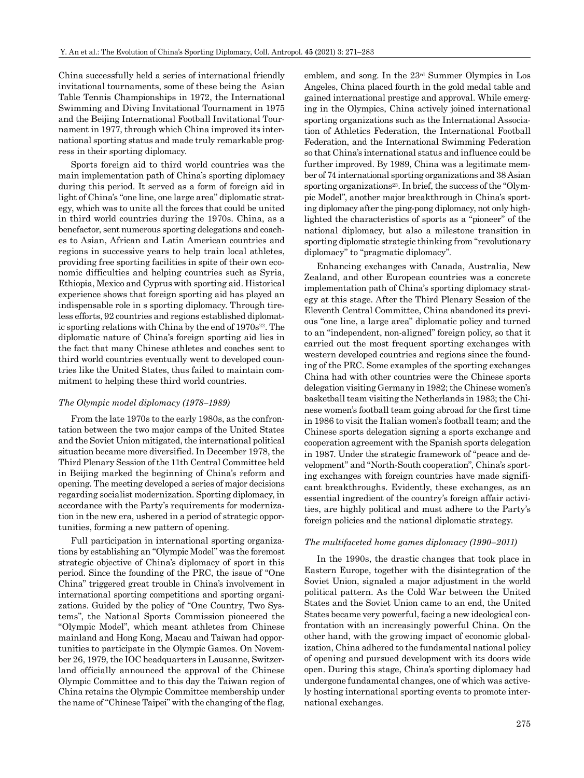China successfully held a series of international friendly invitational tournaments, some of these being the Asian Table Tennis Championships in 1972, the International Swimming and Diving Invitational Tournament in 1975 and the Beijing International Football Invitational Tournament in 1977, through which China improved its international sporting status and made truly remarkable progress in their sporting diplomacy.

Sports foreign aid to third world countries was the main implementation path of China's sporting diplomacy during this period. It served as a form of foreign aid in light of China's "one line, one large area" diplomatic strategy, which was to unite all the forces that could be united in third world countries during the 1970s. China, as a benefactor, sent numerous sporting delegations and coaches to Asian, African and Latin American countries and regions in successive years to help train local athletes, providing free sporting facilities in spite of their own economic difficulties and helping countries such as Syria, Ethiopia, Mexico and Cyprus with sporting aid. Historical experience shows that foreign sporting aid has played an indispensable role in s sporting diplomacy. Through tireless efforts, 92 countries and regions established diplomatic sporting relations with China by the end of  $1970s^{22}$ . The diplomatic nature of China's foreign sporting aid lies in the fact that many Chinese athletes and coaches sent to third world countries eventually went to developed countries like the United States, thus failed to maintain commitment to helping these third world countries.

#### *The Olympic model diplomacy (1978–1989)*

From the late 1970s to the early 1980s, as the confrontation between the two major camps of the United States and the Soviet Union mitigated, the international political situation became more diversified. In December 1978, the Third Plenary Session of the 11th Central Committee held in Beijing marked the beginning of China's reform and opening. The meeting developed a series of major decisions regarding socialist modernization. Sporting diplomacy, in accordance with the Party's requirements for modernization in the new era, ushered in a period of strategic opportunities, forming a new pattern of opening.

Full participation in international sporting organizations by establishing an "Olympic Model" was the foremost strategic objective of China's diplomacy of sport in this period. Since the founding of the PRC, the issue of "One China" triggered great trouble in China's involvement in international sporting competitions and sporting organizations. Guided by the policy of "One Country, Two Systems", the National Sports Commission pioneered the "Olympic Model", which meant athletes from Chinese mainland and Hong Kong, Macau and Taiwan had opportunities to participate in the Olympic Games. On November 26, 1979, the IOC headquarters in Lausanne, Switzerland officially announced the approval of the Chinese Olympic Committee and to this day the Taiwan region of China retains the Olympic Committee membership under the name of "Chinese Taipei" with the changing of the flag, emblem, and song. In the 23rd Summer Olympics in Los Angeles, China placed fourth in the gold medal table and gained international prestige and approval. While emerging in the Olympics, China actively joined international sporting organizations such as the International Association of Athletics Federation, the International Football Federation, and the International Swimming Federation so that China's international status and influence could be further improved. By 1989, China was a legitimate member of 74 international sporting organizations and 38 Asian sporting organizations<sup>23</sup>. In brief, the success of the "Olympic Model", another major breakthrough in China's sporting diplomacy after the ping-pong diplomacy, not only highlighted the characteristics of sports as a "pioneer" of the national diplomacy, but also a milestone transition in sporting diplomatic strategic thinking from "revolutionary diplomacy" to "pragmatic diplomacy".

Enhancing exchanges with Canada, Australia, New Zealand, and other European countries was a concrete implementation path of China's sporting diplomacy strategy at this stage. After the Third Plenary Session of the Eleventh Central Committee, China abandoned its previous "one line, a large area" diplomatic policy and turned to an "independent, non-aligned" foreign policy, so that it carried out the most frequent sporting exchanges with western developed countries and regions since the founding of the PRC. Some examples of the sporting exchanges China had with other countries were the Chinese sports delegation visiting Germany in 1982; the Chinese women's basketball team visiting the Netherlands in 1983; the Chinese women's football team going abroad for the first time in 1986 to visit the Italian women's football team; and the Chinese sports delegation signing a sports exchange and cooperation agreement with the Spanish sports delegation in 1987. Under the strategic framework of "peace and development" and "North-South cooperation", China's sporting exchanges with foreign countries have made significant breakthroughs. Evidently, these exchanges, as an essential ingredient of the country's foreign affair activities, are highly political and must adhere to the Party's foreign policies and the national diplomatic strategy.

#### *The multifaceted home games diplomacy (1990–2011)*

In the 1990s, the drastic changes that took place in Eastern Europe, together with the disintegration of the Soviet Union, signaled a major adjustment in the world political pattern. As the Cold War between the United States and the Soviet Union came to an end, the United States became very powerful, facing a new ideological confrontation with an increasingly powerful China. On the other hand, with the growing impact of economic globalization, China adhered to the fundamental national policy of opening and pursued development with its doors wide open. During this stage, China's sporting diplomacy had undergone fundamental changes, one of which was actively hosting international sporting events to promote international exchanges.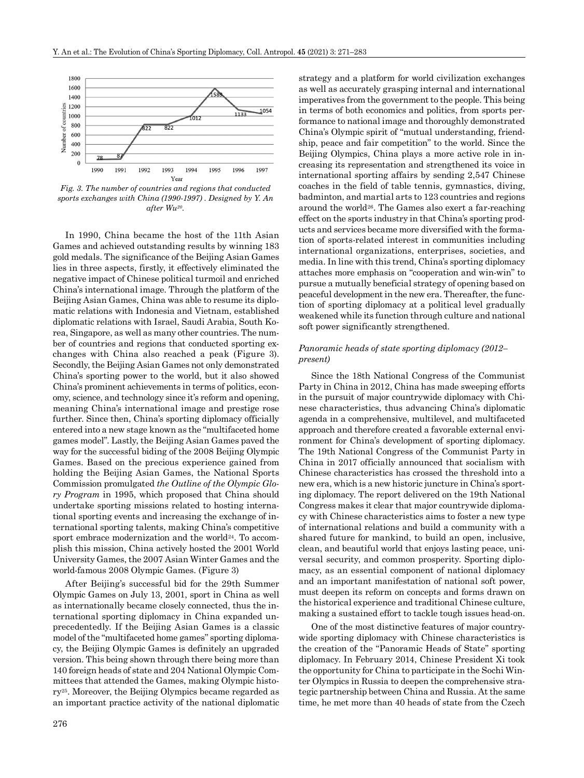

*sports exchanges with China (1990-1997) . Designed by Y. An after Wu20.*

In 1990, China became the host of the 11th Asian Games and achieved outstanding results by winning 183 gold medals. The significance of the Beijing Asian Games lies in three aspects, firstly, it effectively eliminated the negative impact of Chinese political turmoil and enriched China's international image. Through the platform of the Beijing Asian Games, China was able to resume its diplomatic relations with Indonesia and Vietnam, established diplomatic relations with Israel, Saudi Arabia, South Korea, Singapore, as well as many other countries. The number of countries and regions that conducted sporting exchanges with China also reached a peak (Figure 3). Secondly, the Beijing Asian Games not only demonstrated China's sporting power to the world, but it also showed China's prominent achievements in terms of politics, economy, science, and technology since it's reform and opening, meaning China's international image and prestige rose further. Since then, China's sporting diplomacy officially entered into a new stage known as the "multifaceted home games model". Lastly, the Beijing Asian Games paved the way for the successful biding of the 2008 Beijing Olympic Games. Based on the precious experience gained from holding the Beijing Asian Games, the National Sports Commission promulgated *the Outline of the Olympic Glory Program* in 1995, which proposed that China should undertake sporting missions related to hosting international sporting events and increasing the exchange of international sporting talents, making China's competitive sport embrace modernization and the world<sup>24</sup>. To accomplish this mission, China actively hosted the 2001 World University Games, the 2007 Asian Winter Games and the world-famous 2008 Olympic Games. (Figure 3)

After Beijing's successful bid for the 29th Summer Olympic Games on July 13, 2001, sport in China as well as internationally became closely connected, thus the international sporting diplomacy in China expanded unprecedentedly. If the Beijing Asian Games is a classic model of the "multifaceted home games" sporting diplomacy, the Beijing Olympic Games is definitely an upgraded version. This being shown through there being more than 140 foreign heads of state and 204 National Olympic Committees that attended the Games, making Olympic history25. Moreover, the Beijing Olympics became regarded as an important practice activity of the national diplomatic strategy and a platform for world civilization exchanges as well as accurately grasping internal and international imperatives from the government to the people. This being in terms of both economics and politics, from sports performance to national image and thoroughly demonstrated China's Olympic spirit of "mutual understanding, friendship, peace and fair competition" to the world. Since the Beijing Olympics, China plays a more active role in increasing its representation and strengthened its voice in international sporting affairs by sending 2,547 Chinese coaches in the field of table tennis, gymnastics, diving, badminton, and martial arts to 123 countries and regions around the world26. The Games also exert a far-reaching effect on the sports industry in that China's sporting products and services became more diversified with the formation of sports-related interest in communities including international organizations, enterprises, societies, and media. In line with this trend, China's sporting diplomacy attaches more emphasis on "cooperation and win-win" to pursue a mutually beneficial strategy of opening based on peaceful development in the new era. Thereafter, the function of sporting diplomacy at a political level gradually weakened while its function through culture and national soft power significantly strengthened.

#### *Panoramic heads of state sporting diplomacy (2012– present)*

Since the 18th National Congress of the Communist Party in China in 2012, China has made sweeping efforts in the pursuit of major countrywide diplomacy with Chinese characteristics, thus advancing China's diplomatic agenda in a comprehensive, multilevel, and multifaceted approach and therefore created a favorable external environment for China's development of sporting diplomacy. The 19th National Congress of the Communist Party in China in 2017 officially announced that socialism with Chinese characteristics has crossed the threshold into a new era, which is a new historic juncture in China's sporting diplomacy. The report delivered on the 19th National Congress makes it clear that major countrywide diplomacy with Chinese characteristics aims to foster a new type of international relations and build a community with a shared future for mankind, to build an open, inclusive, clean, and beautiful world that enjoys lasting peace, universal security, and common prosperity. Sporting diplomacy, as an essential component of national diplomacy and an important manifestation of national soft power, must deepen its reform on concepts and forms drawn on the historical experience and traditional Chinese culture, making a sustained effort to tackle tough issues head-on.

One of the most distinctive features of major countrywide sporting diplomacy with Chinese characteristics is the creation of the "Panoramic Heads of State" sporting diplomacy. In February 2014, Chinese President Xi took the opportunity for China to participate in the Sochi Winter Olympics in Russia to deepen the comprehensive strategic partnership between China and Russia. At the same time, he met more than 40 heads of state from the Czech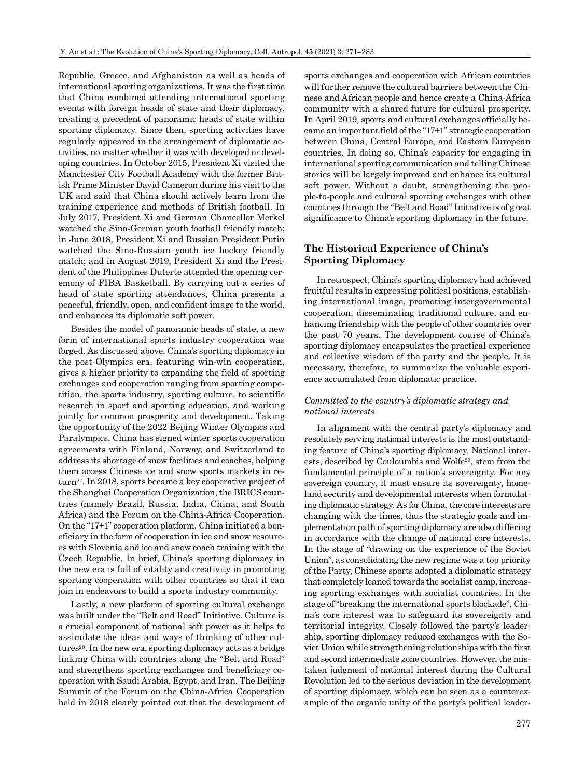Republic, Greece, and Afghanistan as well as heads of international sporting organizations. It was the first time that China combined attending international sporting events with foreign heads of state and their diplomacy, creating a precedent of panoramic heads of state within sporting diplomacy. Since then, sporting activities have regularly appeared in the arrangement of diplomatic activities, no matter whether it was with developed or developing countries. In October 2015, President Xi visited the Manchester City Football Academy with the former British Prime Minister David Cameron during his visit to the UK and said that China should actively learn from the training experience and methods of British football. In July 2017, President Xi and German Chancellor Merkel watched the Sino-German youth football friendly match; in June 2018, President Xi and Russian President Putin watched the Sino-Russian youth ice hockey friendly match; and in August 2019, President Xi and the President of the Philippines Duterte attended the opening ceremony of FIBA Basketball. By carrying out a series of head of state sporting attendances, China presents a peaceful, friendly, open, and confident image to the world, and enhances its diplomatic soft power.

Besides the model of panoramic heads of state, a new form of international sports industry cooperation was forged. As discussed above, China's sporting diplomacy in the post-Olympics era, featuring win-win cooperation, gives a higher priority to expanding the field of sporting exchanges and cooperation ranging from sporting competition, the sports industry, sporting culture, to scientific research in sport and sporting education, and working jointly for common prosperity and development. Taking the opportunity of the 2022 Beijing Winter Olympics and Paralympics, China has signed winter sports cooperation agreements with Finland, Norway, and Switzerland to address its shortage of snow facilities and coaches, helping them access Chinese ice and snow sports markets in return27. In 2018, sports became a key cooperative project of the Shanghai Cooperation Organization, the BRICS countries (namely Brazil, Russia, India, China, and South Africa) and the Forum on the China-Africa Cooperation. On the "17+1" cooperation platform, China initiated a beneficiary in the form of cooperation in ice and snow resources with Slovenia and ice and snow coach training with the Czech Republic. In brief, China's sporting diplomacy in the new era is full of vitality and creativity in promoting sporting cooperation with other countries so that it can join in endeavors to build a sports industry community.

Lastly, a new platform of sporting cultural exchange was built under the "Belt and Road" Initiative. Culture is a crucial component of national soft power as it helps to assimilate the ideas and ways of thinking of other cultures<sup>28</sup>. In the new era, sporting diplomacy acts as a bridge linking China with countries along the "Belt and Road" and strengthens sporting exchanges and beneficiary cooperation with Saudi Arabia, Egypt, and Iran. The Beijing Summit of the Forum on the China-Africa Cooperation held in 2018 clearly pointed out that the development of sports exchanges and cooperation with African countries will further remove the cultural barriers between the Chinese and African people and hence create a China-Africa community with a shared future for cultural prosperity. In April 2019, sports and cultural exchanges officially became an important field of the "17+1" strategic cooperation between China, Central Europe, and Eastern European countries. In doing so, China's capacity for engaging in international sporting communication and telling Chinese stories will be largely improved and enhance its cultural soft power. Without a doubt, strengthening the people-to-people and cultural sporting exchanges with other countries through the "Belt and Road" Initiative is of great significance to China's sporting diplomacy in the future.

## **The Historical Experience of China's Sporting Diplomacy**

In retrospect, China's sporting diplomacy had achieved fruitful results in expressing political positions, establishing international image, promoting intergovernmental cooperation, disseminating traditional culture, and enhancing friendship with the people of other countries over the past 70 years. The development course of China's sporting diplomacy encapsulates the practical experience and collective wisdom of the party and the people. It is necessary, therefore, to summarize the valuable experience accumulated from diplomatic practice.

## *Committed to the country's diplomatic strategy and national interests*

In alignment with the central party's diplomacy and resolutely serving national interests is the most outstanding feature of China's sporting diplomacy. National interests, described by Couloumbis and Wolfe29, stem from the fundamental principle of a nation's sovereignty. For any sovereign country, it must ensure its sovereignty, homeland security and developmental interests when formulating diplomatic strategy. As for China, the core interests are changing with the times, thus the strategic goals and implementation path of sporting diplomacy are also differing in accordance with the change of national core interests. In the stage of "drawing on the experience of the Soviet Union", as consolidating the new regime was a top priority of the Party, Chinese sports adopted a diplomatic strategy that completely leaned towards the socialist camp, increasing sporting exchanges with socialist countries. In the stage of "breaking the international sports blockade", China's core interest was to safeguard its sovereignty and territorial integrity. Closely followed the party's leadership, sporting diplomacy reduced exchanges with the Soviet Union while strengthening relationships with the first and second intermediate zone countries. However, the mistaken judgment of national interest during the Cultural Revolution led to the serious deviation in the development of sporting diplomacy, which can be seen as a counterexample of the organic unity of the party's political leader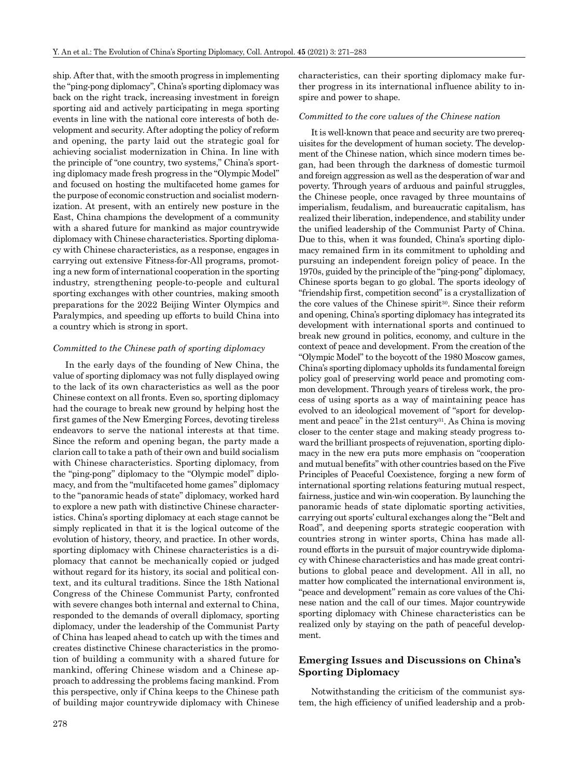ship. After that, with the smooth progress in implementing the "ping-pong diplomacy", China's sporting diplomacy was back on the right track, increasing investment in foreign sporting aid and actively participating in mega sporting events in line with the national core interests of both development and security. After adopting the policy of reform and opening, the party laid out the strategic goal for achieving socialist modernization in China. In line with the principle of "one country, two systems," China's sporting diplomacy made fresh progress in the "Olympic Model" and focused on hosting the multifaceted home games for the purpose of economic construction and socialist modernization. At present, with an entirely new posture in the East, China champions the development of a community with a shared future for mankind as major countrywide diplomacy with Chinese characteristics. Sporting diplomacy with Chinese characteristics, as a response, engages in carrying out extensive Fitness-for-All programs, promoting a new form of international cooperation in the sporting industry, strengthening people-to-people and cultural sporting exchanges with other countries, making smooth preparations for the 2022 Beijing Winter Olympics and Paralympics, and speeding up efforts to build China into a country which is strong in sport.

#### *Committed to the Chinese path of sporting diplomacy*

In the early days of the founding of New China, the value of sporting diplomacy was not fully displayed owing to the lack of its own characteristics as well as the poor Chinese context on all fronts. Even so, sporting diplomacy had the courage to break new ground by helping host the first games of the New Emerging Forces, devoting tireless endeavors to serve the national interests at that time. Since the reform and opening began, the party made a clarion call to take a path of their own and build socialism with Chinese characteristics. Sporting diplomacy, from the "ping-pong" diplomacy to the "Olympic model" diplomacy, and from the "multifaceted home games" diplomacy to the "panoramic heads of state" diplomacy, worked hard to explore a new path with distinctive Chinese characteristics. China's sporting diplomacy at each stage cannot be simply replicated in that it is the logical outcome of the evolution of history, theory, and practice. In other words, sporting diplomacy with Chinese characteristics is a diplomacy that cannot be mechanically copied or judged without regard for its history, its social and political context, and its cultural traditions. Since the 18th National Congress of the Chinese Communist Party, confronted with severe changes both internal and external to China, responded to the demands of overall diplomacy, sporting diplomacy, under the leadership of the Communist Party of China has leaped ahead to catch up with the times and creates distinctive Chinese characteristics in the promotion of building a community with a shared future for mankind, offering Chinese wisdom and a Chinese approach to addressing the problems facing mankind. From this perspective, only if China keeps to the Chinese path of building major countrywide diplomacy with Chinese characteristics, can their sporting diplomacy make further progress in its international influence ability to inspire and power to shape.

#### *Committed to the core values of the Chinese nation*

It is well-known that peace and security are two prerequisites for the development of human society. The development of the Chinese nation, which since modern times began, had been through the darkness of domestic turmoil and foreign aggression as well as the desperation of war and poverty. Through years of arduous and painful struggles, the Chinese people, once ravaged by three mountains of imperialism, feudalism, and bureaucratic capitalism, has realized their liberation, independence, and stability under the unified leadership of the Communist Party of China. Due to this, when it was founded, China's sporting diplomacy remained firm in its commitment to upholding and pursuing an independent foreign policy of peace. In the 1970s, guided by the principle of the "ping-pong" diplomacy, Chinese sports began to go global. The sports ideology of "friendship first, competition second" is a crystallization of the core values of the Chinese spirit30. Since their reform and opening, China's sporting diplomacy has integrated its development with international sports and continued to break new ground in politics, economy, and culture in the context of peace and development. From the creation of the "Olympic Model" to the boycott of the 1980 Moscow games, China's sporting diplomacy upholds its fundamental foreign policy goal of preserving world peace and promoting common development. Through years of tireless work, the process of using sports as a way of maintaining peace has evolved to an ideological movement of "sport for development and peace" in the 21st century<sup>31</sup>. As China is moving closer to the center stage and making steady progress toward the brilliant prospects of rejuvenation, sporting diplomacy in the new era puts more emphasis on "cooperation and mutual benefits" with other countries based on the Five Principles of Peaceful Coexistence, forging a new form of international sporting relations featuring mutual respect, fairness, justice and win-win cooperation. By launching the panoramic heads of state diplomatic sporting activities, carrying out sports' cultural exchanges along the "Belt and Road", and deepening sports strategic cooperation with countries strong in winter sports, China has made allround efforts in the pursuit of major countrywide diplomacy with Chinese characteristics and has made great contributions to global peace and development. All in all, no matter how complicated the international environment is, "peace and development" remain as core values of the Chinese nation and the call of our times. Major countrywide sporting diplomacy with Chinese characteristics can be realized only by staying on the path of peaceful development.

## **Emerging Issues and Discussions on China's Sporting Diplomacy**

Notwithstanding the criticism of the communist system, the high efficiency of unified leadership and a prob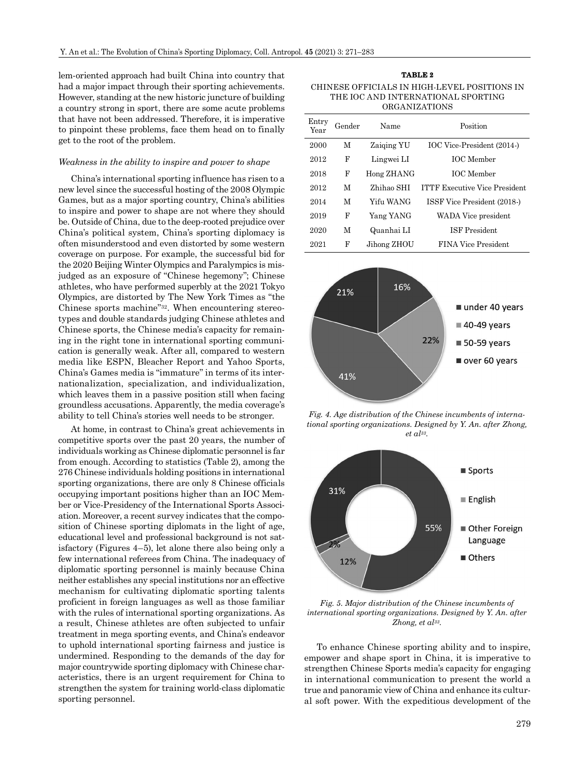lem-oriented approach had built China into country that had a major impact through their sporting achievements. However, standing at the new historic juncture of building a country strong in sport, there are some acute problems that have not been addressed. Therefore, it is imperative to pinpoint these problems, face them head on to finally get to the root of the problem.

#### *Weakness in the ability to inspire and power to shape*

China's international sporting influence has risen to a new level since the successful hosting of the 2008 Olympic Games, but as a major sporting country, China's abilities to inspire and power to shape are not where they should be. Outside of China, due to the deep-rooted prejudice over China's political system, China's sporting diplomacy is often misunderstood and even distorted by some western coverage on purpose. For example, the successful bid for the 2020 Beijing Winter Olympics and Paralympics is misjudged as an exposure of "Chinese hegemony"; Chinese athletes, who have performed superbly at the 2021 Tokyo Olympics, are distorted by The New York Times as "the Chinese sports machine"32. When encountering stereotypes and double standards judging Chinese athletes and Chinese sports, the Chinese media's capacity for remaining in the right tone in international sporting communication is generally weak. After all, compared to western media like ESPN, Bleacher Report and Yahoo Sports, China's Games media is "immature" in terms of its internationalization, specialization, and individualization, which leaves them in a passive position still when facing groundless accusations. Apparently, the media coverage's ability to tell China's stories well needs to be stronger.

At home, in contrast to China's great achievements in competitive sports over the past 20 years, the number of individuals working as Chinese diplomatic personnel is far from enough. According to statistics (Table 2), among the 276 Chinese individuals holding positions in international sporting organizations, there are only 8 Chinese officials occupying important positions higher than an IOC Member or Vice-Presidency of the International Sports Association. Moreover, a recent survey indicates that the composition of Chinese sporting diplomats in the light of age, educational level and professional background is not satisfactory (Figures 4–5), let alone there also being only a few international referees from China. The inadequacy of diplomatic sporting personnel is mainly because China neither establishes any special institutions nor an effective mechanism for cultivating diplomatic sporting talents proficient in foreign languages as well as those familiar with the rules of international sporting organizations. As a result, Chinese athletes are often subjected to unfair treatment in mega sporting events, and China's endeavor to uphold international sporting fairness and justice is undermined. Responding to the demands of the day for major countrywide sporting diplomacy with Chinese characteristics, there is an urgent requirement for China to strengthen the system for training world-class diplomatic sporting personnel.

**TABLE 2** CHINESE OFFICIALS IN HIGH-LEVEL POSITIONS IN THE IOC AND INTERNATIONAL SPORTING ORGANIZATIONS

| Entry<br>Year | Gender | Name        | Position                             |
|---------------|--------|-------------|--------------------------------------|
| 2000          | M      | Zaiging YU  | IOC Vice-President (2014-)           |
| 2012          | F      | Lingwei LI  | <b>IOC</b> Member                    |
| 2018          | F      | Hong ZHANG  | <b>IOC</b> Member                    |
| 2012          | М      | Zhihao SHI  | <b>ITTF Executive Vice President</b> |
| 2014          | М      | Yifu WANG   | ISSF Vice President (2018-)          |
| 2019          | F      | Yang YANG   | WADA Vice president                  |
| 2020          | М      | Quanhai LI  | <b>ISF</b> President                 |
| 2021          | F      | Jihong ZHOU | FINA Vice President                  |



*Fig. 4. Age distribution of the Chinese incumbents of international sporting organizations. Designed by Y. An. after Zhong, et al33.*



*Fig. 5. Major distribution of the Chinese incumbents of international sporting organizations. Designed by Y. An. after Zhong, et al33.*

To enhance Chinese sporting ability and to inspire, empower and shape sport in China, it is imperative to strengthen Chinese Sports media's capacity for engaging in international communication to present the world a true and panoramic view of China and enhance its cultural soft power. With the expeditious development of the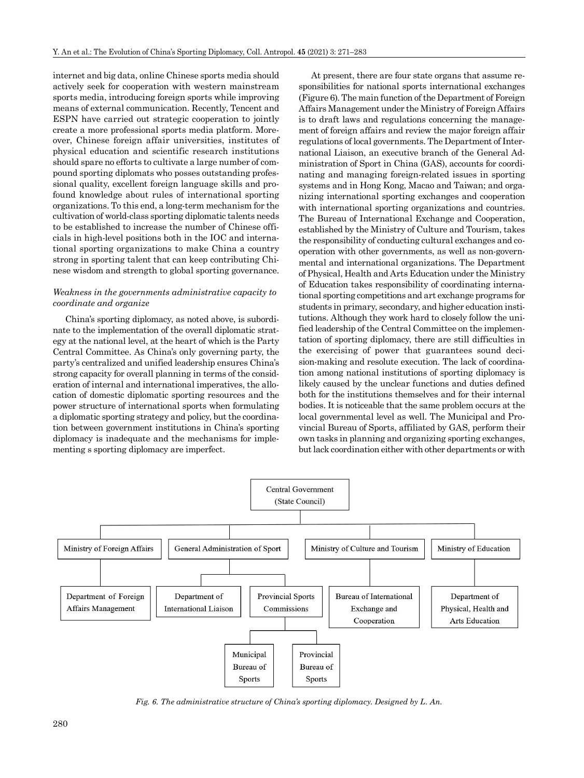internet and big data, online Chinese sports media should actively seek for cooperation with western mainstream sports media, introducing foreign sports while improving means of external communication. Recently, Tencent and ESPN have carried out strategic cooperation to jointly create a more professional sports media platform. Moreover, Chinese foreign affair universities, institutes of physical education and scientific research institutions should spare no efforts to cultivate a large number of compound sporting diplomats who posses outstanding professional quality, excellent foreign language skills and profound knowledge about rules of international sporting organizations. To this end, a long-term mechanism for the cultivation of world-class sporting diplomatic talents needs to be established to increase the number of Chinese officials in high-level positions both in the IOC and international sporting organizations to make China a country strong in sporting talent that can keep contributing Chinese wisdom and strength to global sporting governance.

#### *Weakness in the governments administrative capacity to coordinate and organize*

China's sporting diplomacy, as noted above, is subordinate to the implementation of the overall diplomatic strategy at the national level, at the heart of which is the Party Central Committee. As China's only governing party, the party's centralized and unified leadership ensures China's strong capacity for overall planning in terms of the consideration of internal and international imperatives, the allocation of domestic diplomatic sporting resources and the power structure of international sports when formulating a diplomatic sporting strategy and policy, but the coordination between government institutions in China's sporting diplomacy is inadequate and the mechanisms for implementing s sporting diplomacy are imperfect.

At present, there are four state organs that assume responsibilities for national sports international exchanges (Figure 6). The main function of the Department of Foreign Affairs Management under the Ministry of Foreign Affairs is to draft laws and regulations concerning the management of foreign affairs and review the major foreign affair regulations of local governments. The Department of International Liaison, an executive branch of the General Administration of Sport in China (GAS), accounts for coordinating and managing foreign-related issues in sporting systems and in Hong Kong, Macao and Taiwan; and organizing international sporting exchanges and cooperation with international sporting organizations and countries. The Bureau of International Exchange and Cooperation, established by the Ministry of Culture and Tourism, takes the responsibility of conducting cultural exchanges and cooperation with other governments, as well as non-governmental and international organizations. The Department of Physical, Health and Arts Education under the Ministry of Education takes responsibility of coordinating international sporting competitions and art exchange programs for students in primary, secondary, and higher education institutions. Although they work hard to closely follow the unified leadership of the Central Committee on the implementation of sporting diplomacy, there are still difficulties in the exercising of power that guarantees sound decision-making and resolute execution. The lack of coordination among national institutions of sporting diplomacy is likely caused by the unclear functions and duties defined both for the institutions themselves and for their internal bodies. It is noticeable that the same problem occurs at the local governmental level as well. The Municipal and Provincial Bureau of Sports, affiliated by GAS, perform their own tasks in planning and organizing sporting exchanges, but lack coordination either with other departments or with



*Fig. 6. The administrative structure of China's sporting diplomacy. Designed by L. An.*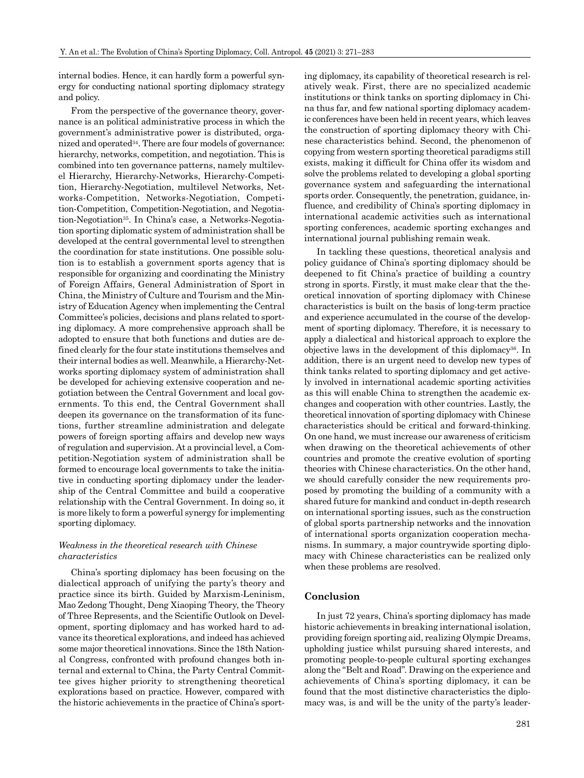internal bodies. Hence, it can hardly form a powerful synergy for conducting national sporting diplomacy strategy and policy.

From the perspective of the governance theory, governance is an political administrative process in which the government's administrative power is distributed, organized and operated34. There are four models of governance: hierarchy, networks, competition, and negotiation. This is combined into ten governance patterns, namely multilevel Hierarchy, Hierarchy-Networks, Hierarchy-Competition, Hierarchy-Negotiation, multilevel Networks, Networks-Competition, Networks-Negotiation, Competition-Competition, Competition-Negotiation, and Negotiation-Negotiation35. In China's case, a Networks-Negotiation sporting diplomatic system of administration shall be developed at the central governmental level to strengthen the coordination for state institutions. One possible solution is to establish a government sports agency that is responsible for organizing and coordinating the Ministry of Foreign Affairs, General Administration of Sport in China, the Ministry of Culture and Tourism and the Ministry of Education Agency when implementing the Central Committee's policies, decisions and plans related to sporting diplomacy. A more comprehensive approach shall be adopted to ensure that both functions and duties are defined clearly for the four state institutions themselves and their internal bodies as well. Meanwhile, a Hierarchy-Networks sporting diplomacy system of administration shall be developed for achieving extensive cooperation and negotiation between the Central Government and local governments. To this end, the Central Government shall deepen its governance on the transformation of its functions, further streamline administration and delegate powers of foreign sporting affairs and develop new ways of regulation and supervision. At a provincial level, a Competition-Negotiation system of administration shall be formed to encourage local governments to take the initiative in conducting sporting diplomacy under the leadership of the Central Committee and build a cooperative relationship with the Central Government. In doing so, it is more likely to form a powerful synergy for implementing sporting diplomacy.

## *Weakness in the theoretical research with Chinese characteristics*

China's sporting diplomacy has been focusing on the dialectical approach of unifying the party's theory and practice since its birth. Guided by Marxism-Leninism, Mao Zedong Thought, Deng Xiaoping Theory, the Theory of Three Represents, and the Scientific Outlook on Development, sporting diplomacy and has worked hard to advance its theoretical explorations, and indeed has achieved some major theoretical innovations. Since the 18th National Congress, confronted with profound changes both internal and external to China, the Party Central Committee gives higher priority to strengthening theoretical explorations based on practice. However, compared with the historic achievements in the practice of China's sporting diplomacy, its capability of theoretical research is relatively weak. First, there are no specialized academic institutions or think tanks on sporting diplomacy in China thus far, and few national sporting diplomacy academic conferences have been held in recent years, which leaves the construction of sporting diplomacy theory with Chinese characteristics behind. Second, the phenomenon of copying from western sporting theoretical paradigms still exists, making it difficult for China offer its wisdom and solve the problems related to developing a global sporting governance system and safeguarding the international sports order. Consequently, the penetration, guidance, influence, and credibility of China's sporting diplomacy in international academic activities such as international sporting conferences, academic sporting exchanges and international journal publishing remain weak.

In tackling these questions, theoretical analysis and policy guidance of China's sporting diplomacy should be deepened to fit China's practice of building a country strong in sports. Firstly, it must make clear that the theoretical innovation of sporting diplomacy with Chinese characteristics is built on the basis of long-term practice and experience accumulated in the course of the development of sporting diplomacy. Therefore, it is necessary to apply a dialectical and historical approach to explore the objective laws in the development of this diplomacy36. In addition, there is an urgent need to develop new types of think tanks related to sporting diplomacy and get actively involved in international academic sporting activities as this will enable China to strengthen the academic exchanges and cooperation with other countries. Lastly, the theoretical innovation of sporting diplomacy with Chinese characteristics should be critical and forward-thinking. On one hand, we must increase our awareness of criticism when drawing on the theoretical achievements of other countries and promote the creative evolution of sporting theories with Chinese characteristics. On the other hand, we should carefully consider the new requirements proposed by promoting the building of a community with a shared future for mankind and conduct in-depth research on international sporting issues, such as the construction of global sports partnership networks and the innovation of international sports organization cooperation mechanisms. In summary, a major countrywide sporting diplomacy with Chinese characteristics can be realized only when these problems are resolved.

#### **Conclusion**

In just 72 years, China's sporting diplomacy has made historic achievements in breaking international isolation, providing foreign sporting aid, realizing Olympic Dreams, upholding justice whilst pursuing shared interests, and promoting people-to-people cultural sporting exchanges along the "Belt and Road". Drawing on the experience and achievements of China's sporting diplomacy, it can be found that the most distinctive characteristics the diplomacy was, is and will be the unity of the party's leader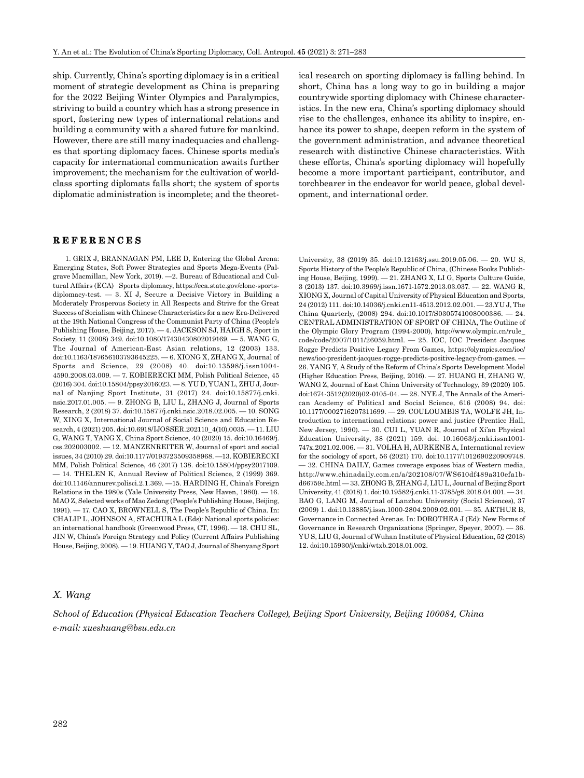ship. Currently, China's sporting diplomacy is in a critical moment of strategic development as China is preparing for the 2022 Beijing Winter Olympics and Paralympics, striving to build a country which has a strong presence in sport, fostering new types of international relations and building a community with a shared future for mankind. However, there are still many inadequacies and challenges that sporting diplomacy faces. Chinese sports media's capacity for international communication awaits further improvement; the mechanism for the cultivation of worldclass sporting diplomats falls short; the system of sports diplomatic administration is incomplete; and the theoretical research on sporting diplomacy is falling behind. In short, China has a long way to go in building a major countrywide sporting diplomacy with Chinese characteristics. In the new era, China's sporting diplomacy should rise to the challenges, enhance its ability to inspire, enhance its power to shape, deepen reform in the system of the government administration, and advance theoretical research with distinctive Chinese characteristics. With these efforts, China's sporting diplomacy will hopefully become a more important participant, contributor, and torchbearer in the endeavor for world peace, global development, and international order.

## **REFERENCES**

1. GRIX J, BRANNAGAN PM, LEE D, Entering the Global Arena: Emerging States, Soft Power Strategies and Sports Mega-Events (Palgrave Macmillan, New York, 2019). —2. Bureau of Educational and Cultural Affairs (ECA) Sports diplomacy, https://eca.state.gov/clone-sportsdiplomacy-test. — 3. XI J, Secure a Decisive Victory in Building a Moderately Prosperous Society in All Respects and Strive for the Great Success of Socialism with Chinese Characteristics for a new Era-Delivered at the 19th National Congress of the Communist Party of China (People's Publishing House, Beijing, 2017). — 4. JACKSON SJ, HAIGH S, Sport in Society, 11 (2008) 349. doi:10.1080/17430430802019169. — 5. WANG G, The Journal of American-East Asian relations, 12 (2003) 133. doi:10.1163/187656103793645225. — 6. XIONG X, ZHANG X, Journal of Sports and Science, 29 (2008) 40. doi:10.13598/j.issn1004- 4590.2008.03.009. — 7. KOBIERECKI MM, Polish Political Science, 45 (2016) 304. doi:10.15804/ppsy2016023. — 8. YU D, YUAN L, ZHU J, Journal of Nanjing Sport Institute, 31 (2017) 24. doi:10.15877/j.cnki. nsic.2017.01.005. — 9. ZHONG B, LIU L, ZHANG J, Journal of Sports Research, 2 (2018) 37. doi:10.15877/j.cnki.nsic.2018.02.005. — 10. SONG W, XING X, International Journal of Social Science and Education Research, 4 (2021) 205. doi:10.6918/IJOSSER.202110\_4(10).0035. — 11. LIU G, WANG T, YANG X, China Sport Science, 40 (2020) 15. doi:10.16469/j. css.202003002. — 12. MANZENREITER W, Journal of sport and social issues, 34 (2010) 29. doi:10.1177/0193723509358968. —13. KOBIERECKI MM, Polish Political Science, 46 (2017) 138. doi:10.15804/ppsy2017109. — 14. THELEN K, Annual Review of Political Science, 2 (1999) 369. doi:10.1146/annurev.polisci.2.1.369. —15. HARDING H, China's Foreign Relations in the 1980s (Yale University Press, New Haven, 1980). — 16. MAO Z, Selected works of Mao Zedong (People's Publishing House, Beijing, 1991). — 17. CAO X, BROWNELL S, The People's Republic of China. In: CHALIP L, JOHNSON A, STACHURA L (Eds): National sports policies: an international handbook (Greenwood Press, CT, 1996). — 18. CHU SL, JIN W, China's Foreign Strategy and Policy (Current Affairs Publishing House, Beijing, 2008). — 19. HUANG Y, TAO J, Journal of Shenyang Sport

University, 38 (2019) 35. doi:10.12163/j.ssu.2019.05.06. — 20. WU S, Sports History of the People's Republic of China, (Chinese Books Publishing House, Beijing, 1999). — 21. ZHANG X, LI G, Sports Culture Guide, 3 (2013) 137. doi:10.3969/j.issn.1671-1572.2013.03.037. — 22. WANG R, XIONG X, Journal of Capital University of Physical Education and Sports, 24 (2012) 111. doi:10.14036/j.cnki.cn11-4513.2012.02.001. — 23.YU J, The China Quarterly, (2008) 294. doi:10.1017/S0305741008000386. — 24. CENTRAL ADMINISTRATION OF SPORT OF CHINA, The Outline of the Olympic Glory Program (1994-2000), http://www.olympic.cn/rule\_ code/code/2007/1011/26059.html. — 25. IOC, IOC President Jacques Rogge Predicts Positive Legacy From Games, https://olympics.com/ioc/ news/ioc-president-jacques-rogge-predicts-positive-legacy-from-games. — 26. YANG Y, A Study of the Reform of China's Sports Development Model (Higher Education Press, Beijing, 2016). — 27. HUANG H, ZHANG W, WANG Z, Journal of East China University of Technology, 39 (2020) 105. doi:1674-3512(2020)02-0105-04. — 28. NYE J, The Annals of the American Academy of Political and Social Science, 616 (2008) 94. doi: 10.1177/0002716207311699. — 29. COULOUMBIS TA, WOLFE JH, Introduction to international relations: power and justice (Prentice Hall, New Jersey, 1990). — 30. CUI L, YUAN R, Journal of Xi'an Physical Education University, 38 (2021) 159. doi: 10.16063/j.cnki.issn1001- 747x.2021.02.006. — 31. VOLHA H, AURKENE A, International review for the sociology of sport, 56 (2021) 170. doi:10.1177/1012690220909748. — 32. CHINA DAILY, Games coverage exposes bias of Western media, http://www.chinadaily.com.cn/a/202108/07/WS610df489a310efa1bd66759c.html — 33. ZHONG B, ZHANG J, LIU L, Journal of Beijing Sport University, 41 (2018) 1. doi:10.19582/j.cnki.11-3785/g8.2018.04.001. — 34. BAO G, LANG M, Journal of Lanzhou University (Social Sciences), 37 (2009) 1. doi:10.13885/j.issn.1000-2804.2009.02.001. — 35. ARTHUR B, Governance in Connected Arenas. In: DOROTHEA J (Ed): New Forms of Governance in Research Organizations (Springer, Speyer, 2007). — 36. YU S, LIU G, Journal of Wuhan Institute of Physical Education, 52 (2018) 12. doi:10.15930/j/cnki/wtxb.2018.01.002.

## *X. Wang*

*School of Education (Physical Education Teachers College), Beijing Sport University, Beijing 100084, China e-mail: xueshuang@bsu.edu.cn*